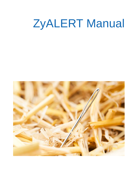# ZyALERT Manual

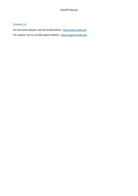### Contact Us

For full contact details, visit the ZyLAB website - [http://www.zylab.com](http://www.zylab.com/) For support, visit our ZyLAB support website - [http://support.zylab.com](http://support.zylab.com/)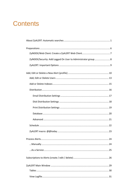## **Contents**

| ZyINDEX/Security: Add Logged On User to Administrator group 8 |
|---------------------------------------------------------------|
|                                                               |
|                                                               |
|                                                               |
|                                                               |
|                                                               |
|                                                               |
|                                                               |
|                                                               |
|                                                               |
|                                                               |
|                                                               |
|                                                               |
|                                                               |
|                                                               |
|                                                               |
|                                                               |
|                                                               |
|                                                               |
|                                                               |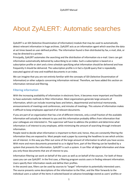## <span id="page-4-0"></span>About ZyALERT: Automatic searches

ZyALERT is an SDI (Selective Dissemination of Information) module that may be used to automatically detect relevant information in huge archives. ZyALERT acts as an information agent which searches the data at set times based on user-defined profiles. The information found is then distributed by fax, e-mail, disk, or may be directed to a printer.

Principally, ZyALERT automates the searching and the distribution of information via e-mail. Users can get information automatically delivered by subscribing to an index. Such a subscription is based on a subscription profile or alert and a time schedule specifying what information should be delivered and how frequently it should be delivered. The subscription profile is in fact a ZyLAB query that is repeatedly executed against all new and modified documents in an index.

We can imagine that you are not entirely familiar with the concepts of SDI (Selective Dissemination of Information) or other subjects concerning information retrieval. Therefore, we have added this section on information retrieval and filtering.

### Filtering information

With the increasing availability of information in electronic form, it becomes more important and feasible to have automatic methods to filter information. Most organizations generate large amounts of information, which can include incoming faxes and letters, departmental and technical memoranda, announcements of meetings and conferences, and minutes of meetings. This volume of information makes it difficult to keep employees apprised of all relevant documents.

If you are part of an organization that has a lot of different interests, only a small fraction of the available information will actually be relevant to you and this information probably differs from information that your colleagues are interested in. The supervisor will have to address the problem and determine what information is of interest to any employee, while minimizing the amount of searching through irrelevant information.

People need to decide what information is important to them and, hence, they are constantly filtering the information they are exposed to. Most people read a paper by scanning the headlines to see which articles are of interest. In this way you filter out some of the large amount of information to which you have access. With more and more documents presented to us in digital form, part of the filtering can be handled by a system that presents the information. ZyALERT is such a system. It can filter all digital information and show you only those documents that are of interest to you.

Information filtering can work on behalf of the users as well as on behalf of the sources. For both of these cases you can use ZyALERT. In the first case, a filtering program assists users in finding relevant information. Users specify their information needs and define their profiles.

In the second case, filters can be used by sources to "target" information to potentially interested users. The source presents some descriptions of the information to the filter, and the filter forwards to the individual users a subset of the items it selected based on advance knowledge stored as users' profiles or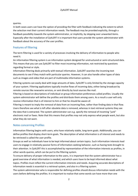queries.

In both cases users can have the option of providing the filter with feedback indicating the extent to which the selection met their current information needs. The feedback may be provided explicitly, through a feedback possibility towards the system administrator, or implicitly, by skipping over unwanted items. Especially after the installation of ZyALERT it is important that users provide the system administrator with feedback about the accuracy of the user profiles.

### Features of filtering

The term filtering is used for a variety of processes involving the delivery of information to people who need it.

An information filtering system is an information system designed for unstructured or semi-structured data. This means that you can use ZyALERT to filter most incoming information, not restricted by questions regarding format or style.

Information filtering deals primarily with textual information. ZyALERT searches the incoming text documents to see if they match with particular queries. However, it can also handle other types of data such as images and video that are part of multimedia information systems.

Filtering systems can easily deal with large amounts of data. ZyALERT is only limited by the storage capacity of your system. Filtering applications typically involve flows of incoming data, either being broadcast by remote sources like newswire services, or sent directly by local sources like mail.

Filtering is based on descriptions of individual or group information preferences called profiles. Usually the system administrator will define the profiles and distribute them among users. As a result a user will only receive information that is of interest to him or that he should be aware of.

Filtering is meant to imply the removal of data from an incoming flow, rather than finding data in that flow. Users therefore see what is left after obsolete data is removed, whereas in text retrieval systems they see the data that is extracted. The system administrator can e.g. specify the removal of incoming "junk" electronic mail or faxes. Note that this means that profiles may not only express what people want, but also what they do not want.

### Notes concerning Profiles

Information filtering begins with users, who have relatively stable, long-term goals. Additionally, you can define profiles that display short-term goals. The description of what information is of interest and needs to be retrieved is called the user profile.

Groups as well as individuals have to be kept informed about certain topics. Such information interests lead users to engage in relatively passive forms of information-seeking behavior, such as having texts brought to their attention. In ZyALERT this is accomplished by representation of the information interests as profiles, in other words queries, which can be put to the filtering system.

To ensure delivery of proper information to the users, it is important that the system administrator has a good overview of what information is needed, and which users have to be kept informed about what topics. Profiles must reflect the current information interests and needs. Acquiring accurate descriptions of information needs is essential in a retrieval system, and also in a filtering system.

The system administrator who is responsible for defining profiles should discuss information needs with the users before defining the profiles. It is important to realize that some words can have more than one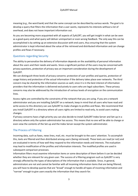meaning (e.g., the word bank) and that the same concept can be described by various words. The goal is to develop a query that filters the information that a user wants, represents his interests without a lot of overhead, and does not leave important information out.

As you are becoming more acquainted with all aspects of ZyALERT, you will get insight in what can be seen as a good query and what query will deliver unimportant or even wrong feedback. The only way this can be accomplished is by setting up an extensive discussion with end users, thus ensuring that the system administrator is kept informed about the value of the retrieved and distributed information and can change profiles and flows if necessary.

### Questions regarding Security

The ability to personalize the delivery of information depends on the availability of personal information about the users and their needs and wants. Since a significant portion of the users may be concerned with privacy questions, protection of privacy was an important consideration during the development of ZyALERT.

We can distinguish three levels of privacy concerns: protection of user profiles and queries, protection of usage history and protection of the actual information if the delivery takes place over networks. The third concern may be shared by the information sources as well, since it is in the best interest of information providers that the information is delivered exclusively to users who are legal subscribers. These privacy concerns may also be addressed by the introduction of various levels of encryption on the communication lines.

Access rights are controlled by the constraints of the network that you are using. If you are a network administrator and you are installing ZyALERT on a network, keep in mind that all users who have read and write access to this directory can use ZyALERT to make changes to profiles and flows. We recommend that you install ZyALERT in a directory where all users rights are limited to read-only, to avoid users making changes.

If privacy concerns have a high priority you can also decide to install ZyALERT Index Server and Set-up in a directory where only the system administrator has access. This means that no one will be able to change or even view the contents of the Set-up and the Index Server except the system administrator.

### The Process of Filtering

Incoming data, such as faxes, news lines, mail, etc. must be brought to the users' attention. To accomplish this, texts are filtered and then distributed among users (being retrieved). These texts are read (or not) and are evaluated in terms of how well they respond to the information needs and interests. The evaluation may lead to modification of the profiles and information interests. The modified profiles are used in subsequent comparison processes.

Information filters must examine information items or some description of them before it can be decided whether they are relevant for any given user. The success of a filtering program such as ZyALERT is very strongly affected by the types of descriptions of the information that is available. Since, in general, administrators are not and cannot be familiar with all incoming information items that are being filtered; you will have to develop queries that are "broad" enough to handle all types of incoming information and "narrow" enough to give users exactly the information that they search for.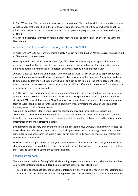In ZyALERT each profile is a query. As soon as you connect a profile to a flow, all incoming data is compared with the query that is specified in the profile. After comparison, ZyALERT will decide whether or not this information is relevant and distribute it to users. At this point the program uses the retrieval techniques of ZyINDEX.

You can find extensive information regarding text retrieval and the definition of queries in the Standard User Manual.

### Automatic notification of search query results with ZyALERT

ZyALERT and ZyWEBSERVER are integrated closely. You can now send out an Alert message, which is linked to files in the ZyLAB Webserver.

When applied in the business environment, ZyALERT offers many advantages for applications such as personnel recruiting, business intelligence, media clipping services, and many other applications where timely and automatic notification of important documents results in higher productivity.

ZyALERT is easy to set up and administer. Any number of "ALERTS" can be set up to apply predefined queries that monitor selected indexes (document collections) at specified intervals. The system can be set to automatically deliver a notification (ZyRESULTS) or it can be set to e-mail the entire document to the user. It can even be set to output results from various ALERTs to different disk directories from where other external processes may be applied.

ZyALERT uses e-mail for routing and delivery and doesn't require the recipient to have any special viewing software. It is an excellent tool for filtering unstructured correspondence in order to generate input for a structured ERP or Workflow system. Since it can sort documents based on content, the most appropriate form of output can be applied for the specific document type, leveraging the value of your corporate intranet, e-mail or a ZyLAB Web Server.

A common application is for filtering customer correspondence and sorting it by categories like "complaints", "product information requests", "credit applications", or any other category that can be identified by content analysis. Once sorted, a variety of dissemination tools can be used to deliver timely information by the most effective method.

By automating the delivery of relevant information (Push technology), ZyALERT significantly increases the use of electronic information beyond what is typically possible with Pull technology. Users don't have to remember to routinely search the system every day in order to find important information. Instead, they simply check their e-mail.

Since version 5.0 it is possible to change your alerts via the ZyLAB webserver. So in case your interests are changing you have the possibility to change the search query online. A link on the bottom of the result list that is sent to you directs you to the subscription pages.

### Scenarios with ZyALERT

There are many methods of using ZyALERT, depending on your company and what, where, when and how you want the information to be filtered. Some example scenarios are listed below:

• Mr. Blob is an insurance consultant, you are interested in everything he is reporting; the incoming data is filtered, and the Alert is for all files relating to Mr. Blob. The found data is distributed and the data is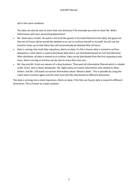left in the same condition.

The data can also be sent to more than one directory if for example you wish to share Mr. Blob's information with your accounting department.

- Mr. Stork owns a hotel. He wants a list of all the guests in his hotel filtered to him daily, but guest list that are 24 hours old he would like deleted so as not to confuse himself or his staff. He will use the function Clean-up so that these files will automatically be deleted after 24 hours.
- Data is coming into small data repository, Alerts on data, if a file is found, data is moved to archive depository. Catch Alerts is used to distribute data that is not distributed based on Full Text Retrieval. After distribute, all data is moved to an archive. Data can be distributed from the first repository only once. Alerts running on Archive can be sent to more then one user.
- Mr. Roy and Mr. Krazt are owners of a shoe business. They want all information filtered which is related to Mr. Dunn, who is there wholesaler. Mr. Right wants to receive information only related to 'New Orders' and Mr. Left wants to receive information about 'delivery dates'. This is possible by using the Catch-alerts function again and this time have the files distributed to different directories.

The data is arriving into a small repository, Alerts on data, if the files are found; data is moved to different directories. This is known as a topic analyzer.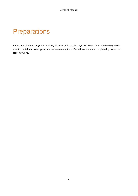## <span id="page-9-0"></span>**Preparations**

Before you start working with ZyALERT, it is advised to create a ZyALERT Web Client, add the Logged On user to the Administrator group and define some options. Once these steps are completed, you can start creating Alerts.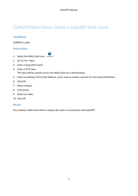## <span id="page-10-0"></span>ZyINDEX/Web Client: Create a ZyALERT Web Client

### **Conditions**

ZyINDEX is open.

### Instructions

- 1. Select the Web Client icon: Web Client.
- 2. Go to File > New.
- 3. Enter a Long client name.
- 4. Enter a HTTP alias. This alias will be used to access the Web Client via a web browser.
- 5. Enter an existing Client Email Address, to be used as senders account for the email distribution.
- 6. Click OK.
- 7. Select Indexes.
- 8. Click Select.
- 9. Select an index.
- 10. Click OK.

### Result

You created a Web Client that is ready to be used in combination with ZyALERT.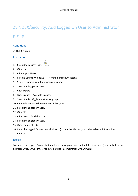## <span id="page-11-0"></span>ZyINDEX/Security: Add Logged On User to Administrator

### group

### **Conditions**

ZyINDEX is open.

### Instructions

1. Select the Security icon: Security.

- 2. Click Users.
- 3. Click Import Users.
- 4. Select a Source (Windows NT) from the dropdown listbox.
- 5. Select a Domain from the dropdown listbox.
- 6. Select the Logged On user.
- 7. Click Import.
- 8. Click Groups > Available Groups.
- 9. Select the ZyLAB\_Administrators group.
- 10. Click Select users to be members of this group.
- 11. Select the Logged On user.
- 12. Click OK.
- 13. Click Users > Available Users.
- 14. Select the Logged On user.
- 15. Click Edit user fields.
- 16. Enter the Logged On users email address (to sent the Alert to), and other relevant information.
- 17. Click OK.

### Result

You added the Logged On user to the Administrator group, and defined the User fields (especially the email address). ZyINDEX/Security is ready to be used in combination with ZyALERT.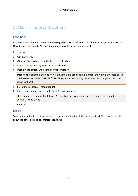## <span id="page-12-0"></span>ZyALERT: Important Options

### **Conditions**

A ZyALERT Web Client is created, and the Logged On user is added to the Administrator group in ZyINDEX. Now, before you can add Alerts, some options have to be defined in ZyALERT.

### **Instructions**

- 1. Open ZyALERT.
- 2. Click the Options button, at the bottom of the dialog.
- 3. Make sure the Indexing Options tab is selected.
- 4. Deselect the option 'Enable index-synchronization'.

**Important**: If selected, this option will trigger a Build action at the moment the Alert is executed based on the schedule. When ZyTIMER/ZyTIMERService is maintaining the indexes, enabling this option will cause conflicts!

- 5. Select the Webserver Integration tab.
- 6. Enter your computer name in the field Default Hostname.

This computer is running the Internet Service Manager containing the web client, you created in ZyINDEX > Web Client.

7. Click OK.

### Result

Some important options, necessary for the proper functioning of Alerts, are defined. For more information about the other options, see **Options** (page **[32](#page-35-0)**).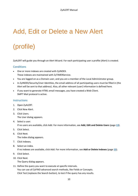## <span id="page-13-0"></span>Add, Edit or Delete a New Alert

## (profile)

ZyALERT will guide you through an Alert Wizard. For each participating user a profile (Alert) is created.

### **Conditions**

- One or more indexes are created with ZyINDEX. These indexes are maintained with ZyTIMERService.
- You are logged on as a Domain user, and you are a member of the Local Administrator group.
- In ZyINDEX/Security/User Identities, the email address of all participating users must be filled in (the Alert will be sent to that address). Also, all other relevant (user) information is defined here.
- If you want to generate HTML email messages, you have created a Web Client. SMPT Mail protocol is active.

### **Instructions**

- 1. Open ZyALERT.
- 2. Click New Alert.
- 3. Click Users. The User dialog appears.
- 4. Select a user. If no users are available, click Add. For more information, see **Add, Edit and Delete Users** (page **[13](#page-16-0)**).
- 5. Click Select.
- 6. Click Next.

The Index dialog appears.

- 7. Click Indexes.
- 8. Select an index. If no indexes are available, click Add. For more information, see **Add or Delete Indexes** (page **[15](#page-18-0)**).
- 9. Click Select.
- 10. Click Next.

The Query dialog appears.

11. Define the query you want to execute at specific intervals. You can use all ZyFIND advanced search methods, like Fields or Concepts. Click Test (replaces the Search button), to test if the query has any results.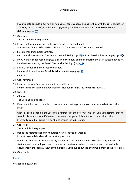If you want to execute a (full-text or field value) search query, looking for files with the current date (or a few days more or less), use the macro *@@today*. For more information, see **ZyALERT macro: @@today** (page **[23](#page-26-0)**)

12. Click Next.

The Distribution dialog appears.

- 13. If you want to sent an email to the user, select the option E-mail. Alternatively, you can choose Disk, Printer, or Database as the Distribution method.
- 14. Select E-mail Distribution Settings. (Or, if you choose another Distribution method, **Disk** (page **[18](#page-21-0)**) or **Print Distribution Settings**(page **[19](#page-22-0)**))
- 15. If you want to sent a result list (resulting from the query defined earlier) to the user, select that option. For the other options, see **E-mail Distribution Settings**(page **[17](#page-20-0)**).
- 16. Select a format from the dropdown listbox. For more information, see **E-mail Distribution Settings**(page **[17](#page-20-0)**).
- 17. Click OK.
- 18. Click Advanced.
- 19. If you are using a Field query, do not sort on Hit density! For more information on the Advanced Distribution Settings, see **Advanced** (page **[21](#page-24-0)**).
- 20. Click OK.
- 21. Click Next.

The Options dialog appears.

22. If you want this user to be able to change his Alert settings via the Web Interface, select the option Private.

With this option enabled, the user gets a reference at the bottom of his HMTL email that states that he can edit his subscriptions. If the Alert contains a user group, it is not wise to select this option: Everybody from that group will be able to change the subscription.

23. Click Next.

The Schedule dialog appears.

- 24. Define the Alert frequency in minute(s), hour(s), day(s), or week(s). In most cases a daily alert will be most appropriate.
- 25. Define the Alert Period Boundaries. By default the start and end time are set on a daily interval. The start and end time limit your search query as a time frame. When you want to search all available documents in the index without any time frame, you have to put the end time in front of the start time.
- 26. Click Finish.

### Result

You added a new Alert.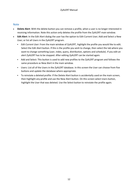### **Note**

- **Delete Alert**: With the delete button you can remove a profile, when a user is no longer interested in receiving information. Note this action only deletes the profile from the ZyALERT main window.
- **Edit Alert**: In the Edit Alert dialog the user has the option to Edit Current User; Add and Select a New User; or list all Users in the ZyALERT program.
	- *Edit Current User*: From the main window of ZyALERT, highlight the profile you would like to edit. Select the Edit Alert button. If this is the profile you wish to change, then select the tab where you want to change something (user, index, query, distribution, options and schedule). If you edit an alert ZyALERT has to be stopped. After editing ZyALERT can be started again.
	- Add and Select: This button is used to add new profiles to the ZyALERT program and follows the same procedure as New Alert in the main window.
	- Users: List all of the Users in the ZyALERT database. In this screen the User can choose from five buttons and update the database where appropriate.
	- To reinstate a deleted profile: If the Delete Alert button is accidentally used on the main screen, then highlight any profile and use the New Alert button. On this screen select Users button, highlight the User that was deleted. Use the Select button to reinstate the profile again.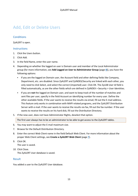## <span id="page-16-0"></span>Add, Edit or Delete Users

### **Conditions**

ZyALERT is open.

#### **Instructions**

- 1. Click the Users button.
- 2. Click Add.
- 3. In the field Name, enter the user name.
- 4. Depending on whether the logged on user is Domain user and member of the Local Administrator group (for more information, see **Add Logged on User to Administrator Group** (page **[8](#page-11-0)**)), you have the following options:
	- If you are the logged on Domain user, the Account field and other defining fields like Company, Department, etc. are disabled. Since ZyALERT and ZyINDEX/Security are linked with each other, you only need to click Select, and select the correct (imported) user. Click OK. The ZyLAB User Id field is filled automatically, as are the other fields which are defined in ZyINDEX > Security > User Identities.
	- If you are **not** the logged on Domain user, and want to keep track of the number of matches and sent files per user, specify in the field Account an identifying number for every user. Define the other available fields. If the user wants to receive the results via email, fill out the E-mail address. This feature only works in combination with MAPI related programs, and the ZyALERT Distribution Server with e-mail. If the user wants to receive the results via fax, fill out the fax number. If the user wants to receive the results on his hard disk, fill out the Distribution Directory.
- 5. If the new user, does not have Administrator Rights, deselect that option.

The first user always has to be an administrator to be able to get access to the ZyALERT tables.

- 6. You may want to adjust the E-mail maximum size.
- 7. Browse for the Default Distribution Directory.
- 8. Enter the correct Web Client name in the field Default Web Client. For more information about the proper Web Client settings, see **Create a ZyALERT Web Client** (page **[7](#page-10-0)**).
- 9. Click OK.

The user is saved.

10. Click Close.

The ZyALERT User database is saved.

### Result

You added a user to the ZyALERT User database.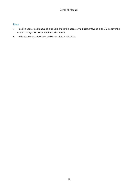### Note

- To edit a user, select one, and click Edit. Make the necessary adjustments, and click OK. To save the user in the ZyALERT User database, click Close.
- To delete a user, select one, and click Delete. Click Close.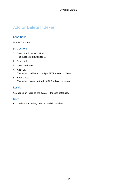## <span id="page-18-0"></span>Add or Delete Indexes

### **Conditions**

ZyALERT is open.

### **Instructions**

- 1. Select the Indexes button. The Indexes dialog appears.
- 2. Select Add.
- 3. Select an index.
- 4. Click OK. The index is added to the ZyALERT Indexes database.
- 5. Click Close. The index is saved in the ZyALERT Indexes database.

### Result

You added an index to the ZyALERT Indexes database.

### Note

• To delete an index, select it, and click Delete.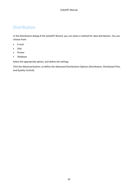### <span id="page-19-0"></span>Distribution

In the Distribution dialog of the ZyALERT Wizard, you can select a method for data distribution. You can choose from:

- E-mail
- Disk
- Printer
- Database

Select the appropriate option, and define the settings.

Click the Advanced button, to define the Advanced Distributions Options (Distribution, Distributed Files, and Quality Control).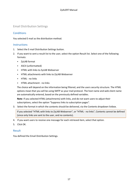### <span id="page-20-0"></span>Email Distribution Settings

### **Conditions**

### You selected E-mail as the distribution method.

### **Instructions**

- 1. Select the E-mail Distribution Settings button.
- 2. If you want to sent a result list to the user, select the option Result list. Select one of the following formats:
	- ZyLAB format
	- ASCII (unformatted)
	- HTML with links to ZyLAB Webserver
	- HTML attachments with links to ZyLAB Webserver
	- HTML no links
	- HTML attachment no links

The choice will depend on the information being filtered, and the users security structure. The HTML options mean that you will be using SMTP as your mail protocol. The host name and web client name are automatically entered, based on the previously defined variables.

**Note**: If you selected HTML (attachments) with links, and do not want users to adjust their subscriptions, select the option "Suppress links to subscription pages".

3. Select the format in which the contents should be delivered, via the Contents dropdown listbox.

If you selected "HTML with links to ZyLAB Webserver", or "HTML - no links", Contents cannot be defined (since only links are sent to the user, and no contents).

- 4. If you want users to receive one message for each retrieved item, select that option.
- 5. Click OK.

### Result

You defined the Email Distribution Settings.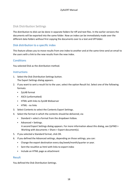### <span id="page-21-0"></span>Disk Distribution Settings

The distribution to disk can be done in separate folders for tiff and text files. In the earlier versions the documents will be exported into the same folder. Now an index can be immediately made over the different data folders without first copying the documents over to a text and tiff folder.

### Disk distribution to a specific index

This feature allows you to move results from one index to another and at the same time send an email to the users with a link to the new results from the new index.

### **Conditions**

You selected Disk as the distribution method.

### **Instructions**

- 1. Select the Disk Distribution Settings button. The Export Settings dialog appears.
- 2. If you want to sent a result list to the user, select the option Result list. Select one of the following formats:
	- ZyLAB format
	- ASCII (unformatted)
	- HTML with links to ZyLAB Webserver
	- HTML no links
- 3. Select Contents to select the Contents Export Settings.
- 4. Select the format in which the contents should be delivered, via
	- Standard > select a format from the dropdown listbox.
	- Advanced > Settings.

A second Export Settings dialog appears. For more information about this dialog, see ZyFIND > Working with documents > Share > Export document(s).

- 5. If you selected a Standard format, click OK.
- 6. If you defined the Advanced settings, depending on those settings, you can:
	- Change the export destination every day/week/month/quarter or year.
	- Sent the resultlist as html with links to export index
	- Include an HTML page as attachment

### Result

You defined the Disk Distribution Settings.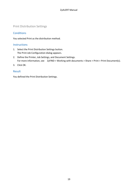### <span id="page-22-0"></span>Print Distribution Settings

### **Conditions**

You selected Print as the distribution method.

### **Instructions**

- 1. Select the Print Distribution Settings button. The Print Job Configuration dialog appears.
- 2. Define the Printer, Job Settings, and Document Settings. For more information, see ZyFIND > Working with documents > Share > Print > Print Document(s).
- 3. Click OK.

### Result

You defined the Print Distribution Settings.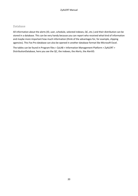### <span id="page-23-0"></span>Database

All information about the alerts (ID, user, schedule, selected indexes, QC, etc.) and their distribution can be stored in a database. This can be very handy because you can report who received what kind of information and maybe more important how much information (think of the advantages for, for example, clipping agencies). This Fox Pro database can also be opened in another database format like Microsoft Excel.

The tables can be found in Program files > ZyLAB > Information Management Platform > ZyALERT > DistributionDatabase, here you see the QC, the indexes, the Alerts, the AlertID.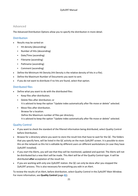### <span id="page-24-0"></span>Advanced

The Advanced Distribution Options allow you to specify the distribution in more detail.

### **Distribution**

- Results may be sorted on
	- Hit density (descending)
	- Number of Hits (descending)
	- Date/Time (ascending)
	- Filename (ascending)
	- Pathname (ascending)
	- Comment (ascending)
- Define the Minimum Hit Density (Hit Density is the relative density of hits in a file).
- Define the Maximum Number of Documents you want to sent.
- If you do not want to distribute if no hits are found, select that option.

### Distributed files

- Define what you want to do with the distributed files:
	- Keep files after distribution;
	- Delete files after distribution; or It is advised to keep the option "Update index automatically after file move or delete" selected.
	- Move files after distribution.
		- Browse for a location.
			- Define the Maximum number of files per directory.
			- It is advised to keep the option "Update index automatically after file move or delete" selected.

### Quality Control

- If you want to check the standard of the filtered information being distributed, select Quality Control before Distribution.
- Browse for a directory where you want to store the result lists that have to wait for the QC. The folders that you specify here, will be listed in the QC activity on the main ZyALERT screen. It is possible to store this on the network so this list is editable by different users on different workstations (in case they have ZyALERT installed).
- If you start the Alerts, you will see that they will be monitored, updated and queried. The Alerts will not be distributed but a new Alert will be made. This Alert will be of the Quality Control-type. It will be distributed **after** acceptation of the result list.
- If you are working with only one ZyALERT station. the QC can only be done after you stopped the ZyALERT process. This is also necessary for everything you edit in an Alert.

To review the results of an Alert, before distribution, select Quality Control in the ZyALERT Main Window. For more information, see **Quality Control** (page **[41](#page-44-0)**).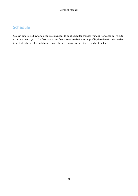## <span id="page-25-0"></span>Schedule

You can determine how often information needs to be checked for changes (varying from once per minute to once in over a year). The first time a data flow is compared with a user profile, the whole flow is checked. After that only the files that changed since the last comparison are filtered and distributed.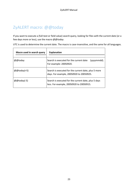## <span id="page-26-0"></span>ZyALERT macro: @@today

If you want to execute a (full-text or field value) search query, looking for files with the current date (or a few days more or less), use the macro *@@today*.

UTC is used to determine the current date. The macro is case-insensitive, and the same for all languages.

| Macro used in search query | <b>Explanation</b>                                                                               |
|----------------------------|--------------------------------------------------------------------------------------------------|
| @@today                    | Search is executed for the current date<br>(yyyymmdd).<br>For example: 20050920.                 |
| @@today(+5)                | Search is executed for the current date, plus 5 more<br>days. For example, 20050920 to 20050925. |
| $@@$ today(-5)             | Search is executed for the current date, plus 5 days<br>less. For example, 20050920 to 20050915. |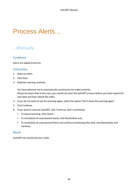## <span id="page-27-0"></span>Process Alerts...

### <span id="page-27-1"></span>...Manually

### **Conditions**

Alerts are added to the list.

#### **Instructions**

- 1. Select an Alert.
- 2. Click Start.
- 3. Read the warning carefully:

You have selected not to automatically synchronize the index contents. Please be aware that in this case, you should not start the ZyALERT process before you have copied the new data and have rebuilt the index.

- 4. If you do not want to see this warning again, select the option 'Don't show this warning again'.
- 5. Click Continue.
- 6. If you want to execute ZyALERT, click 'Continue, don't reschedule'.
	- To stop processing, click Cancel.
	- To reschedule all unprocessed Alerts, click Reschedule only.
	- To reschedule all unprocessed Alerts and continue processing after that, click Reschedule and continue.

### Result

ZyALERT has monitored your index.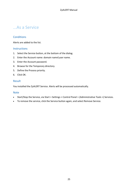### <span id="page-28-0"></span>...As a Service

### **Conditions**

Alerts are added to the list.

#### **Instructions**

- 1. Select the Service button, at the bottom of the dialog.
- 2. Enter the Account name: domain name\user name.
- 3. Enter the Account password.
- 4. Browse for the Temporary directory.
- 5. Define the Process priority.
- 6. Click OK.

#### Result

You installed the ZyALERT Service. Alerts will be processed automatically.

#### Note

- Start/Stop the Service, via Start > Settings > Control Panel > (Administrative Tools >) Services.
- To remove the service, click the Service button again, and select Remove Service.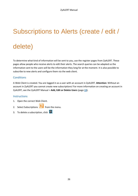## <span id="page-29-0"></span>Subscriptions to Alerts (create / edit /

## delete)

To determine what kind of information will be sent to you, use the register pages from ZyALERT. These pages allow people who receive alerts to edit their alerts. The search queries can be adapted so the information sent to the users will be the information they long for at the moment. It is also possible to subscribe to new alerts and configure them via the web client.

### **Conditions**

A Web Client is created. You are logged in as a user with an account in ZyALERT. **Attention**: Without an account in ZyALERT you cannot create new subscriptions! For more information on creating an account in ZyALERT, see the ZyALERT Manual > **Add, Edit or Delete Users** (page **[13](#page-16-0)**).

### **Instructions**

- 1. Open the correct Web Client.
- 2. Select Subscriptions **following** from the menu.
- 3. To delete a subscription, click  $\Box$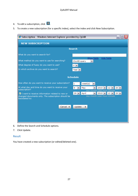- 4. To edit a subscription, click  $\blacksquare$
- 5. To create a new subscription (for a specific index), select the index and click New Subscription.

| Subscription - Windows Internet Explorer provided by ZyLAB                                                             | - 1                                                                                                                                             |
|------------------------------------------------------------------------------------------------------------------------|-------------------------------------------------------------------------------------------------------------------------------------------------|
| <b>NEW SUBSCRIPTION</b>                                                                                                |                                                                                                                                                 |
|                                                                                                                        | <b>Search</b>                                                                                                                                   |
| What do you want to search for?                                                                                        |                                                                                                                                                 |
| What method do you want to use for searching?                                                                          | Show fields<br><b>Hide fields</b><br>ZyLAB query<br>$\checkmark$                                                                                |
| What degree of fuzzy do you want to use?                                                                               | $0\vert\mathbf{v}\vert$                                                                                                                         |
| In which archive do you want to search?                                                                                | Test $\vee$                                                                                                                                     |
|                                                                                                                        | <b>Schedule</b>                                                                                                                                 |
| How often do you want to receive your subscription?                                                                    | week(s)                                                                                                                                         |
| At what day and time do you want to receive your<br>subscription?                                                      | 2010 $\vee$ 12 $\vee$ 20 $\vee$<br>May<br>$\checkmark$                                                                                          |
| I want to receive information related to new or<br>changed documents only. The subscription should be<br>backdated to: | day-month-year-hour-minute<br>$ 12 $ $\vee$<br>$29 \times$<br>April<br>$20 \vee$<br>$\checkmark$<br>$2010 \times$<br>day-month-year-hour-minute |
| Cancel 4                                                                                                               | Update                                                                                                                                          |

- 6. Define the Search and Schedule options.
- 7. Click Update.

### Result

You have created a new subscription (or edited/deleted one).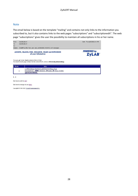#### Note

The email below is based on the template "mailing" and contains not only links to the information you subscribed to, but it also contains links to the web pages "subscriptions" and "subscriptionedit". The web page "subscriptions" gives the user the possibility to maintain all subscriptions in his or her name.



The query g<sup>\*</sup> in Index Test resulted in 1 hits in 1 files The search results page contains the files ranked 1 to 1, sorted on **Hit density (descending)**.

| Info                                                                                                                       |
|----------------------------------------------------------------------------------------------------------------------------|
| C:\PROGRAM FILES\ZYLAB\TEST\TXT\New Text<br>Document.txt: 30000 relevance, 39 bytes, 39 hit(s), in index<br>ZyDOCDATABASE. |

 $1 - 1$ 

Click here to edit this alert.

Click here to manage all your alerts.

Copyright @ 1995-2002 ZyLAB Technologies B.V.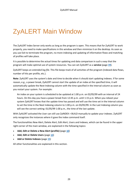## <span id="page-32-0"></span>ZyALERT Main Window

The ZyALERT Index Server only works as long as the program is open. This means that for ZyALERT to work properly, you need to make specifications in this window and then minimize it on the desktop. As soon as you use Exit to terminate the program, no more indexing and updating of information flows and matching of profiles will take place.

It is possible to determine the actual times for updating and data comparison in such a way that the program will make optimal use of system resources. You can set ZyALERT as a **service** (page **[39](#page-42-0)**).

ZyALERT keeps an *extended log file*. This file keeps track of all activities of the program (indexed data flows, number of hits per profile, etc.).

**Note**: ZyALERT uses the system's date and time to decide when it should start updating indexes. If for some reason, e.g., a power break, ZyALERT cannot start the update of an index at the specified time, it will automatically update the Next Indexing column with the time specified in the Interval column as soon as you restart your system. For example:

An index on your system is scheduled to be updated at 1:00 p.m. on 02/05/99 with an interval of 24 hours. On this day you have a power break from 12:45 p.m. until 1:15 p.m. When you reboot your system ZyALERT knows that the update time has passed and will use the time set in the Interval column to set the time in the Next Indexing column to 1:00 p.m. on 03/05/99. In the Last Indexing column you will see the correct setting: 01/05/99 1:00 p.m., the time of the last update.

With ZyALERT activated the User can still use ZyINDEX > BUILD manually to update your indexes. ZyALERT only recognizes the instances where it gave the index command itself.

The functionalities New Alert, Delete Alert, Edit Alert, Users and Indexes, which can be found in the upper right corner of the main window, are explained in the following topics:

- **Add, Edit or Delete a New Alert (profile)** (page **[10](#page-13-0)**)
- **Add, Edit or Delete Users** (page **[13](#page-16-0)**)
- **Add or Delete Indexes** (page **[15](#page-18-0)**)

All other functionalities are explained in this section.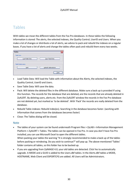### <span id="page-33-0"></span>Tables

With tables we mean the different tables from the Fox Pro databases. In these tables the following information is stored: The alerts, the selected indexes, the Quality Control, UserID and Users. When you make a lot of changes or distribute a lot of alerts, we advice to pack and rebuild the indexes on a regular bases. If you have a lot of alerts and change the tables often pack and rebuild them every two weeks.

| <b>Tables</b>     |                       |
|-------------------|-----------------------|
| Table Data        |                       |
| Load Table Data   | Save Table Data       |
| Table Maintenance |                       |
| Pack              | Rebuild Table-indexes |
|                   |                       |
|                   | Close<br>             |

- Load Table Data: Will load the Table with information about the Alerts, the selected indexes, the Quality Control, UserID and Users.
- Save Table Data: Will save the data.
- Pack: Will delete the deleted files in the different database. Make sure a back up is provided if using this function. The records for the database that are deleted, are the records that are already deleted in ZyALERT. By deleting users, alerts etc. from the ZyALERT window the records in the Fox Pro database are not deleted yet, but marked as 'to be deleted'. With 'Pack' the records are really deleted from the database.
- Rebuild Table-indexes: Rebuild index(es). Searching in the database becomes faster. (working with information that comes from the databases becomes faster)
- Close: The Tables dialog will be closed.

### Note

- The tables of your system can be found underneath Program files > ZyLAB > Information Management Platform > ZyALERT > Tables. The tables can be opened in Fox Pro. In case you don't have Fox Pro installed, you can use Microsoft Excel to open the different tables. When packing your tables the warning "It is strongly recommended to make a back up of the tables before packing or reindexing. Do you wish to continue?" will pop up. The above-mentioned 'Tables' folder contains all tables, so this folder has to be backed up.
- If you are upgrading from ZyIMAGE 4.0, your old tables are detected. Click Yes to automatically upgrade. A MODE and a GUID is added to the Users.dbf tables. In the Alerts.dbf tables a MODE, HOSTNAME, Web Client and EXPORTCFG are added. All Users will be Administrators.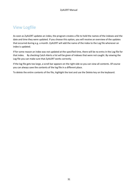### <span id="page-34-0"></span>View Logfile

As soon as ZyALERT updates an index, the program creates a file to hold the names of the indexes and the date and time they were updated. If you choose this option, you will receive an overview of the updates that occurred during e.g. a month. ZyALERT will add the name of the index to the Log file whenever an index is updated.

If for some reason an index was not updated at the specified time, there will be no entry in the Log file for that index. By checking Catch Alerts a list will be given of indexes that were not caught. By viewing the Log file you can make sure that ZyALERT works correctly.

If the log file gets too large, a scroll bar appears on the right side so you can view all contents. Of course you can always save the contents of the log file in a different place.

To delete the entire contents of the file, highlight the text and use the Delete key on the keyboard.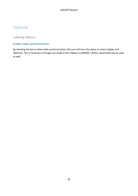## <span id="page-35-0"></span>**Options**

<span id="page-35-1"></span>Indexing Options

### Enable index-synchronization

By checking the box to allow index-synchronization, the user will have the choice to select Update and Optimize. This is necessary if changes are made to the indexes in ZyINDEX > BUILD. Quick build can be used as well.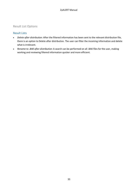### <span id="page-36-0"></span>Result List Options

### Result Lists

- *Delete after distribution*: After the filtered information has been sent to the relevant distribution file, there is an option to Delete after distribution. The user can filter the incoming information and delete what is irrelevant.
- *Rename to .BAK after distribution*: A search can be performed on all .BAK files for the user, making working and reviewing filtered information quicker and more efficient.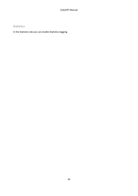### <span id="page-37-0"></span>Statistics

In the Statistics tab you can enable Statistics-logging.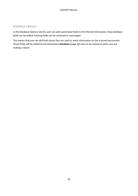### <span id="page-38-0"></span>Database Options

In the Database Options tab the user can add customized fields to the filtered information. New *database fields* can be added. Existing fields can be removed or rearranged.

This means that one can add field values that are used as meta information on the scanned documents. These fields will be added to the distribution **Database** (page **[20](#page-23-0)**) and can be picked up when you are making a report.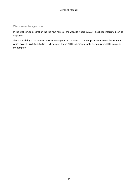### <span id="page-39-0"></span>Webserver Integration

In the Webserver Integration tab the host name of the website where ZyALERT has been integrated can be displayed.

This is the ability to distribute ZyALERT messages in HTML format. The template determines the format in which ZyALERT is distributed in HTML format. The ZyALERT administrator to customize ZyALERT may edit the template.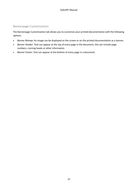### <span id="page-40-0"></span>Bannerpage Customization

The Bannerpage Customization tab allows you to customize your printed documentation with the following options:

- *Banner Bitmap*: An image can be displayed on the screen or on the printed documentation as a banner.
- *Banner Header*: Text can appear at the top of every page in the document, this can include page numbers, running heads or other information.
- *Banner Footer*: Text can appear at the bottom of every page in a document.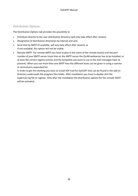### <span id="page-41-0"></span>Distribution Options

The Distribution Options tab provides the possibility to

- Distribute directly to the user distribution directory (will only take effect after restart);
- Designation of distribution directories by interval and unit;
- Send mail by SMTP (if available, will only take effect after restart); or If not available, this option will not be visible.
- Remote SMTP. For remote SMTP you have to give in the name of the remote host(s) and the port number of your SMTP server (note that on the SMTP server the ZyLAB webserver has to be installed, or at least the correct registry entries and the templates you want to use in the mail messages have to present). When you use more then one SMTP host the different hosts can be given in using a commaor semicolumn-separated list.

In order to get this working you have to install ASP mail for ZyALERT that can be found in the add on directory underneath the program files folder. After installation you have to double click the AspEmail.reg file to register. Only after the installation the distribution options for the remote SMTP will be activated.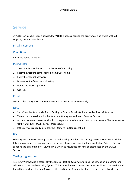### <span id="page-42-0"></span>Service

ZyALERT can also be set as a service. If ZyALERT is set as a service the program can be ended without stopping the alert distribution.

### Install / Remove

### **Conditions**

Alerts are added to the list.

### **Instructions**

- 1. Select the Service button, at the bottom of the dialog.
- 2. Enter the Account name: domain name\user name.
- 3. Enter the Account password.
- 4. Browse for the Temporary directory.
- 5. Define the Process priority.
- 6. Click OK.

### Result

You installed the ZyALERT Service. Alerts will be processed automatically.

### Note

- Start/Stop the Service, via Start > Settings > Control Panel > (Administrative Tools >) Services.
- To remove the service, click the Service button again, and select Remove Service.
- Accountname and password should correspond to a valid useraccount for the domain. The service uses "HKEY\_CURRENT\_USER" keys of this account.
- If the service is already installed, the "Remove" button is enabled.

#### Use

When ZyAlertService is running, users can add, modify or delete alerts using ZyALERT. New alerts will be taken into account every new cycle of the service. Errors are logged in the usual logfile. ZyALERT Service supports the distribution of .zyr files via SMTP, so resultfiles can now be distributed by the ZyALERT Service.

### Testing suggestions

Testing ZyAlertService is essentially the same as testing ZyAlert. Install and the service on a machine, and add alerts to the database using ZyAlert. This can be done on one and the same machine. If the service and the editing machine, the data (ZyAlert tables and indexes) should be shared through the network. Use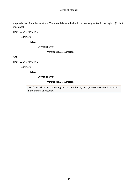#### ZyALERT Manual

mapped drives for index locations. The shared data-path should be manually edited in the registry (for both machines):

#### HKEY\_LOCAL\_MACHINE

Software

ZyLAB

ZyProfileServer

Preferences\DataDirectory

And

HKEY\_LOCAL\_MACHINE

Software

ZyLAB

ZyProfileServer

Preferences\DataDirectory

User feedback of the scheduling and rescheduling by the ZyAlertService should be visible in the editing application.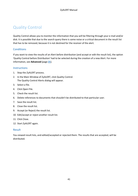## <span id="page-44-0"></span>Quality Control

Quality Control allows you to monitor the information that you will be filtering through your e-mail and/or disk. It is possible that due to the search query there is some noise or a critical document in the result list that has to be removed, because it is not destined for the receiver of the alert.

### **Conditions**

If you want to view the results of an Alert before distribution (and accept or edit the result list), the option 'Quality Control before Distribution' had to be selected during the creation of a new Alert. For more information, see **Advanced** (page **[21](#page-24-0)**).

### **Instructions**

- 1. Stop the ZyALERT process.
- 2. In the Main Window of ZyALERT, click Quality Control. The Quality Control Alerts dialog will appear.
- 3. Select a file.
- 4. Click Open File.
- 5. Check the result list.
- 6. Delete references to documents that shouldn't be distributed to that particular user.
- 7. Save the result list.
- 8. Close the result list.
- 9. Accept (or Reject) the result list.
- 10. Edit/accept or reject another result list.
- 11. Click Close.
- 12. Start ZyALERT again.

### Result

You viewed result lists, and edited/accepted or rejected them. The results that are accepted, will be distributed.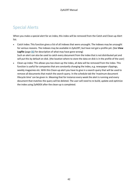## <span id="page-45-0"></span>Special Alerts

When you make a special alert for an index, this index will be removed from the Catch and Clean-up Alert list.

- Catch index: This function gives a list of all indexes that were uncaught. The indexes may be uncaught for various reasons. The indexes may be available in ZyALERT, but have not got a profile yet. (See **View Logfile** (page **[31](#page-34-0)**) for description of what may have gone wrong) Such an alert can also be used to catch every document from the index that is not distributed yet and will put this by default on disk. (the location where to store the data on disk is in the profile of the user)
- Clean-up index: This allows you too clean-up the index, all data will be removed from the index. This function is useful for companies that are constantly changing the index, e.g. newspaper clippings, weekly magazines etc. With this Clean-up alert you have to give in a search query that will be used to remove all documents that match the search query. In the schedule tab the 'maximum document lifecycle time' can be given in. Meaning that for instance every week the alert is running and every document that matches the query will be deleted. The user will need to re-build, update and optimize the index using ZyINDEX after the clean-up is completed.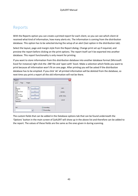### <span id="page-46-0"></span>Reports

With the Reports option you can create a printed report for each client, so you can see which client id received what kind of information, how many alerts etc. The information is coming from the distribution database. This option has to be selected during the setup of an alert (last option in the distribution tab).

Select the layout, page and margin style from the Report dialog. Change print set up if required, and preview the report before clicking on the print options. The report itself can't be exported into another database. This report functionality is only meant for printing.

If you want to store information from this distribution database into another database format (Microsoft Excel for instance) right click the .DBF file and 'open with' Excel. Make a selection which fields you want to print because all information won't fit on one page. After printing you will be asked if the distribution database has to be emptied. If you click 'ok' all printed information will be deleted from the database, so next time you print a report all the old information will not be there.

| Report                                                                                                                                                                                                                                        |                                             |  |
|-----------------------------------------------------------------------------------------------------------------------------------------------------------------------------------------------------------------------------------------------|---------------------------------------------|--|
| Margins<br>Page<br>Layout<br>Id<br>ᄉ<br>---><br>Filename<br>Path.<br>$\left\langle \ldots \right\rangle$<br>Creation Date<br>Size<br>Hits in Text<br>$\rightarrow$<br>Hits in Images<br>Links<br><<<br>$\checkmark$<br>Comment<br>Expression: | print<br>preview<br>printer setup<br>cancel |  |
| Sort:<br>$\checkmark$                                                                                                                                                                                                                         | Ascending<br>Descending                     |  |

The custom fields that can be added in the Database options tab that can be found underneath the 'Options' button in the main screen of ZyALERT will show up in the above list and therefore can be added to the report. The values of these fields are the same as the ones given in during scanning.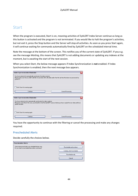### <span id="page-47-0"></span>**Start**

When the program is executed, Start is on, meaning activities of ZyALERT Index Server continue as long as this button is activated and the program is not terminated. If you would like to halt the program's activities, but not exit it, press the Stop button and the Server will stop all activities. As soon as you press Start again, it will continue waiting for commands automatically fired by ZyALERT on the scheduled interval time.

Note the message at the bottom of the screen. This notifies you of the current state of ZyALERT. If you e.g. see the message *Waiting*, this means that ZyALERT is not adding documents or updating any indexes at the moment, but is awaiting the start of the next session.

When you select Start, the below message appears if Index Synchronization is **not** enabled. If Index Synchronization is enabled, then the next message box appears.

| Index Synchronization Reminder                                                                                                                                                                                           | x |
|--------------------------------------------------------------------------------------------------------------------------------------------------------------------------------------------------------------------------|---|
| You have selected to automatically synchronize the index contents.<br>Please make sure that you didn't add files to any index with a file-date earlier than the last time the index was processed by<br>ZwALERT.         |   |
| Don't show this warning again                                                                                                                                                                                            |   |
| Cancel Processing<br>Continue                                                                                                                                                                                            |   |
|                                                                                                                                                                                                                          |   |
| Index Synchronization Reminder                                                                                                                                                                                           |   |
| You have selected not to automatically synchronize the index contents.<br>Please be aware that in this case, you should not start the ZyALERT process before you have copied the new data and have<br>rehuilt the index. |   |
| Don't show this warning again                                                                                                                                                                                            |   |
| Cancel Processing<br>Continue                                                                                                                                                                                            |   |

You have the opportunity to continue with the filtering or cancel the processing and make any changes required.

### Prescheduled Alerts

Decide carefully the choices below.

| <b>Prescheduled Alerts</b>                                                                             |                            |
|--------------------------------------------------------------------------------------------------------|----------------------------|
| Some unprocessed alerts are scheduled before now.<br>Do you want to reschedule them before continuing? | Reschedule and continue    |
|                                                                                                        | Continue, don't reschedule |
|                                                                                                        | Reschedule only            |
|                                                                                                        |                            |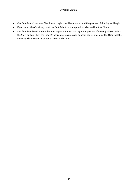- *Reschedule and continue:* The filtered registry will be updated and the process of filtering will begin.
- If you select the *Continue, don't reschedule* button then previous alerts will not be filtered.
- *Reschedule only* will update the filter registry but will not begin the process of filtering till you Select the Start button. Then the Index Synchronization message appears again, informing the User that the Index Synchronization is either enabled or disabled.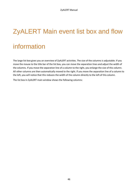# <span id="page-49-0"></span>ZyALERT Main event list box and flow

## information

The large list box gives you an overview of ZyALERT activities. The size of the columns is adjustable. If you move the mouse to the title bar of the list box, you can move the separation lines and adjust the width of the columns. If you move the separation line of a column to the right, you enlarge the size of this column. All other columns are then automatically moved to the right. If you move the separation line of a column to the left, you will notice that this reduces the width of the column directly to the left of this column.

The list box in ZyALERT main window shows the following columns: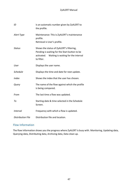#### ZyALERT Manual

| ID                       | Is an automatic number given by ZyALERT to<br>the profile.                                                                                                |
|--------------------------|-----------------------------------------------------------------------------------------------------------------------------------------------------------|
| Alert Type               | Maintenance: This is ZyALERT's maintenance<br>profile.<br>Retrieval is User's profile.                                                                    |
| <b>Status</b>            | Shows the status of ZyALERT's filtering,<br>Pending is waiting for the Start button to be<br>activated. Waiting is waiting for the interval<br>to filter. |
| User                     | Displays the user name.                                                                                                                                   |
| Schedule                 | Displays the time and date for next update.                                                                                                               |
| <b>Index</b>             | Shows the index that the user has chosen.                                                                                                                 |
| Query                    | The name of the flow against which the profile<br>is being compared.                                                                                      |
| From                     | The last time a flow was updated.                                                                                                                         |
| Тo                       | Starting date & time selected in the Schedule<br>Screen.                                                                                                  |
| <b>Interval</b>          | Frequency with which a flow is updated.                                                                                                                   |
| <b>Distribution File</b> | Distribution file and location.                                                                                                                           |

### Flow Information

The flow information shows you the progress where ZyALERT is busy with. Monitoring, Updating data, Querying data, Distributing data, Archiving data, Data clean up.